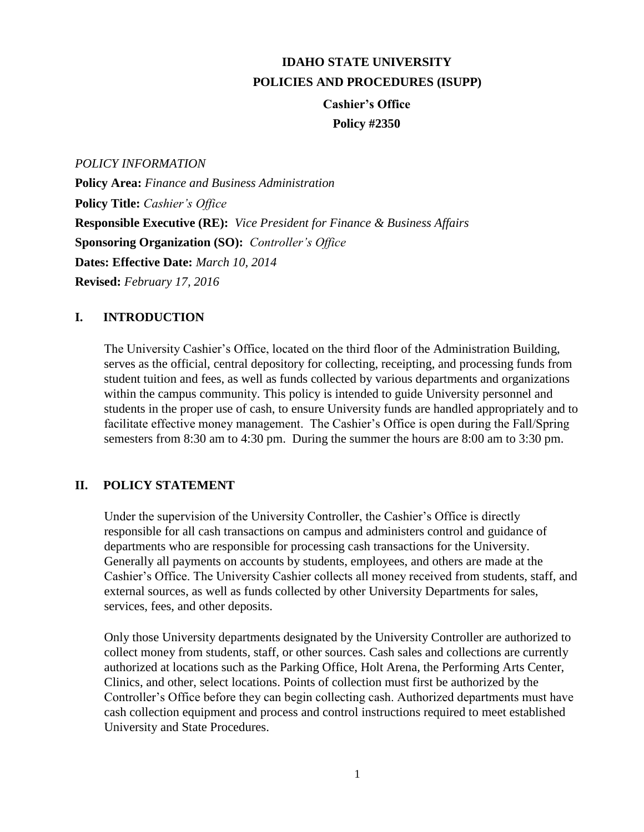# **IDAHO STATE UNIVERSITY POLICIES AND PROCEDURES (ISUPP)**

# **Cashier's Office Policy #2350**

*POLICY INFORMATION*

**Policy Area:** *Finance and Business Administration* **Policy Title:** *Cashier's Office* **Responsible Executive (RE):** *Vice President for Finance & Business Affairs* **Sponsoring Organization (SO):** *Controller's Office*  **Dates: Effective Date:** *March 10, 2014*  **Revised:** *February 17, 2016*

## **I. INTRODUCTION**

The University Cashier's Office, located on the third floor of the Administration Building, serves as the official, central depository for collecting, receipting, and processing funds from student tuition and fees, as well as funds collected by various departments and organizations within the campus community. This policy is intended to guide University personnel and students in the proper use of cash, to ensure University funds are handled appropriately and to facilitate effective money management. The Cashier's Office is open during the Fall/Spring semesters from 8:30 am to 4:30 pm. During the summer the hours are 8:00 am to 3:30 pm.

## **II. POLICY STATEMENT**

Under the supervision of the University Controller, the Cashier's Office is directly responsible for all cash transactions on campus and administers control and guidance of departments who are responsible for processing cash transactions for the University. Generally all payments on accounts by students, employees, and others are made at the Cashier's Office. The University Cashier collects all money received from students, staff, and external sources, as well as funds collected by other University Departments for sales, services, fees, and other deposits.

Only those University departments designated by the University Controller are authorized to collect money from students, staff, or other sources. Cash sales and collections are currently authorized at locations such as the Parking Office, Holt Arena, the Performing Arts Center, Clinics, and other, select locations. Points of collection must first be authorized by the Controller's Office before they can begin collecting cash. Authorized departments must have cash collection equipment and process and control instructions required to meet established University and State Procedures.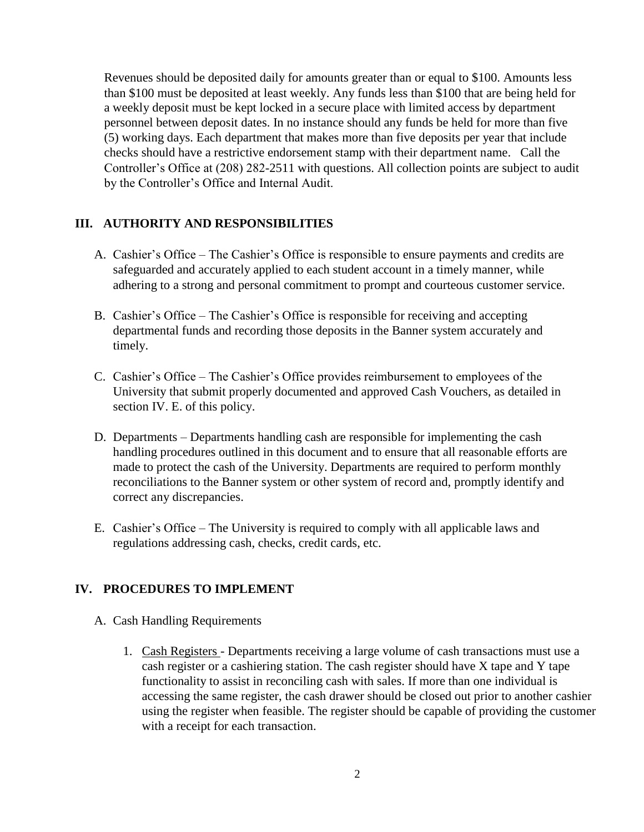Revenues should be deposited daily for amounts greater than or equal to \$100. Amounts less than \$100 must be deposited at least weekly. Any funds less than \$100 that are being held for a weekly deposit must be kept locked in a secure place with limited access by department personnel between deposit dates. In no instance should any funds be held for more than five (5) working days. Each department that makes more than five deposits per year that include checks should have a restrictive endorsement stamp with their department name. Call the Controller's Office at (208) 282-2511 with questions. All collection points are subject to audit by the Controller's Office and Internal Audit.

#### **III. AUTHORITY AND RESPONSIBILITIES**

- A. Cashier's Office The Cashier's Office is responsible to ensure payments and credits are safeguarded and accurately applied to each student account in a timely manner, while adhering to a strong and personal commitment to prompt and courteous customer service.
- B. Cashier's Office The Cashier's Office is responsible for receiving and accepting departmental funds and recording those deposits in the Banner system accurately and timely.
- C. Cashier's Office The Cashier's Office provides reimbursement to employees of the University that submit properly documented and approved Cash Vouchers, as detailed in section IV. E. of this policy.
- D. Departments Departments handling cash are responsible for implementing the cash handling procedures outlined in this document and to ensure that all reasonable efforts are made to protect the cash of the University. Departments are required to perform monthly reconciliations to the Banner system or other system of record and, promptly identify and correct any discrepancies.
- E. Cashier's Office The University is required to comply with all applicable laws and regulations addressing cash, checks, credit cards, etc.

#### **IV. PROCEDURES TO IMPLEMENT**

- A. Cash Handling Requirements
	- 1. Cash Registers Departments receiving a large volume of cash transactions must use a cash register or a cashiering station. The cash register should have X tape and Y tape functionality to assist in reconciling cash with sales. If more than one individual is accessing the same register, the cash drawer should be closed out prior to another cashier using the register when feasible. The register should be capable of providing the customer with a receipt for each transaction.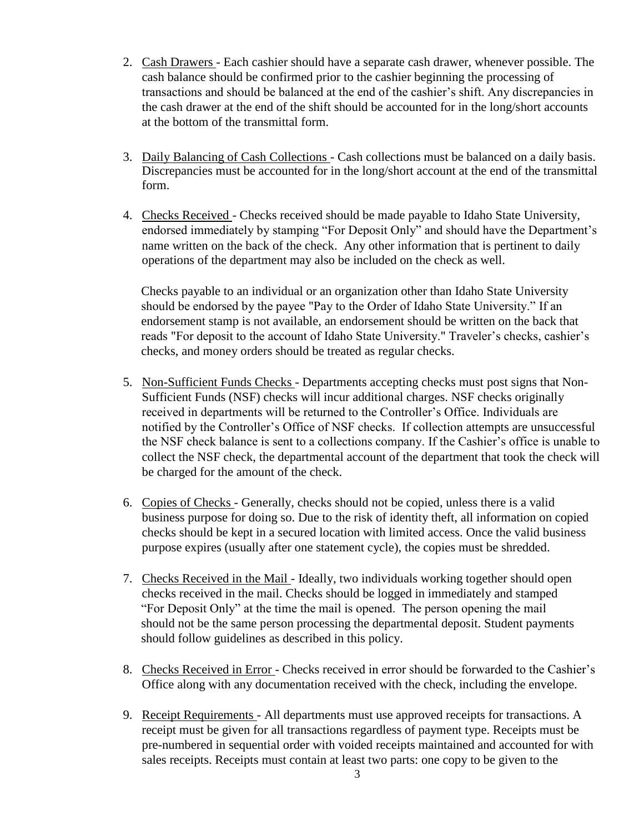- 2. Cash Drawers Each cashier should have a separate cash drawer, whenever possible. The cash balance should be confirmed prior to the cashier beginning the processing of transactions and should be balanced at the end of the cashier's shift. Any discrepancies in the cash drawer at the end of the shift should be accounted for in the long/short accounts at the bottom of the transmittal form.
- 3. Daily Balancing of Cash Collections Cash collections must be balanced on a daily basis. Discrepancies must be accounted for in the long/short account at the end of the transmittal form.
- 4. Checks Received Checks received should be made payable to Idaho State University, endorsed immediately by stamping "For Deposit Only" and should have the Department's name written on the back of the check. Any other information that is pertinent to daily operations of the department may also be included on the check as well.

Checks payable to an individual or an organization other than Idaho State University should be endorsed by the payee "Pay to the Order of Idaho State University." If an endorsement stamp is not available, an endorsement should be written on the back that reads "For deposit to the account of Idaho State University." Traveler's checks, cashier's checks, and money orders should be treated as regular checks.

- 5. Non-Sufficient Funds Checks Departments accepting checks must post signs that Non-Sufficient Funds (NSF) checks will incur additional charges. NSF checks originally received in departments will be returned to the Controller's Office. Individuals are notified by the Controller's Office of NSF checks. If collection attempts are unsuccessful the NSF check balance is sent to a collections company. If the Cashier's office is unable to collect the NSF check, the departmental account of the department that took the check will be charged for the amount of the check.
- 6. Copies of Checks Generally, checks should not be copied, unless there is a valid business purpose for doing so. Due to the risk of identity theft, all information on copied checks should be kept in a secured location with limited access. Once the valid business purpose expires (usually after one statement cycle), the copies must be shredded.
- 7. Checks Received in the Mail Ideally, two individuals working together should open checks received in the mail. Checks should be logged in immediately and stamped "For Deposit Only" at the time the mail is opened. The person opening the mail should not be the same person processing the departmental deposit. Student payments should follow guidelines as described in this policy.
- 8. Checks Received in Error Checks received in error should be forwarded to the Cashier's Office along with any documentation received with the check, including the envelope.
- 9. Receipt Requirements All departments must use approved receipts for transactions. A receipt must be given for all transactions regardless of payment type. Receipts must be pre-numbered in sequential order with voided receipts maintained and accounted for with sales receipts. Receipts must contain at least two parts: one copy to be given to the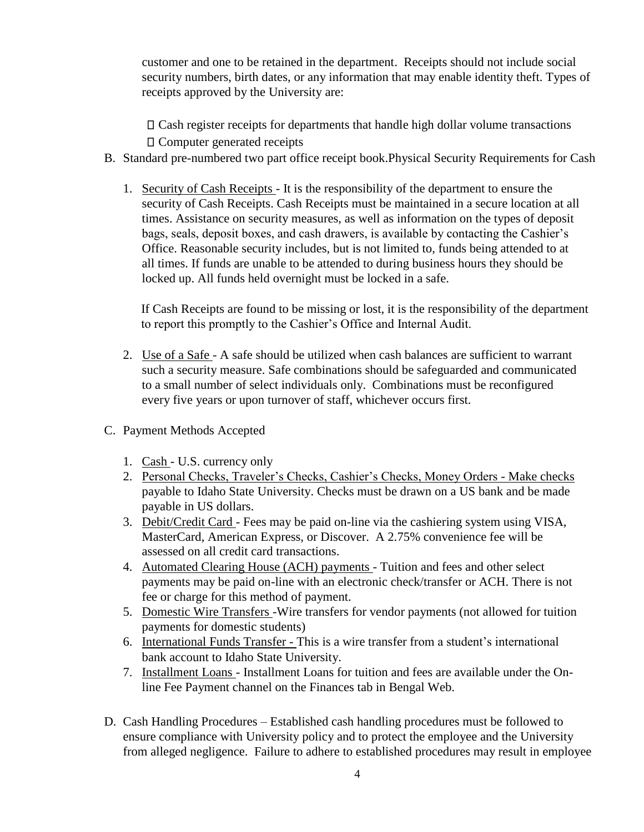customer and one to be retained in the department. Receipts should not include social security numbers, birth dates, or any information that may enable identity theft. Types of receipts approved by the University are:

Cash register receipts for departments that handle high dollar volume transactions Computer generated receipts

- B. Standard pre-numbered two part office receipt book.Physical Security Requirements for Cash
	- 1. Security of Cash Receipts It is the responsibility of the department to ensure the security of Cash Receipts. Cash Receipts must be maintained in a secure location at all times. Assistance on security measures, as well as information on the types of deposit bags, seals, deposit boxes, and cash drawers, is available by contacting the Cashier's Office. Reasonable security includes, but is not limited to, funds being attended to at all times. If funds are unable to be attended to during business hours they should be locked up. All funds held overnight must be locked in a safe.

If Cash Receipts are found to be missing or lost, it is the responsibility of the department to report this promptly to the Cashier's Office and Internal Audit.

- 2. Use of a Safe A safe should be utilized when cash balances are sufficient to warrant such a security measure. Safe combinations should be safeguarded and communicated to a small number of select individuals only. Combinations must be reconfigured every five years or upon turnover of staff, whichever occurs first.
- C. Payment Methods Accepted
	- 1. Cash U.S. currency only
	- 2. Personal Checks, Traveler's Checks, Cashier's Checks, Money Orders Make checks payable to Idaho State University. Checks must be drawn on a US bank and be made payable in US dollars.
	- 3. Debit/Credit Card Fees may be paid on-line via the cashiering system using VISA, MasterCard, American Express, or Discover. A 2.75% convenience fee will be assessed on all credit card transactions.
	- 4. Automated Clearing House (ACH) payments Tuition and fees and other select payments may be paid on-line with an electronic check/transfer or ACH. There is not fee or charge for this method of payment.
	- 5. Domestic Wire Transfers -Wire transfers for vendor payments (not allowed for tuition payments for domestic students)
	- 6. International Funds Transfer This is a wire transfer from a student's international bank account to Idaho State University.
	- 7. Installment Loans Installment Loans for tuition and fees are available under the Online Fee Payment channel on the Finances tab in Bengal Web.
- D. Cash Handling Procedures Established cash handling procedures must be followed to ensure compliance with University policy and to protect the employee and the University from alleged negligence. Failure to adhere to established procedures may result in employee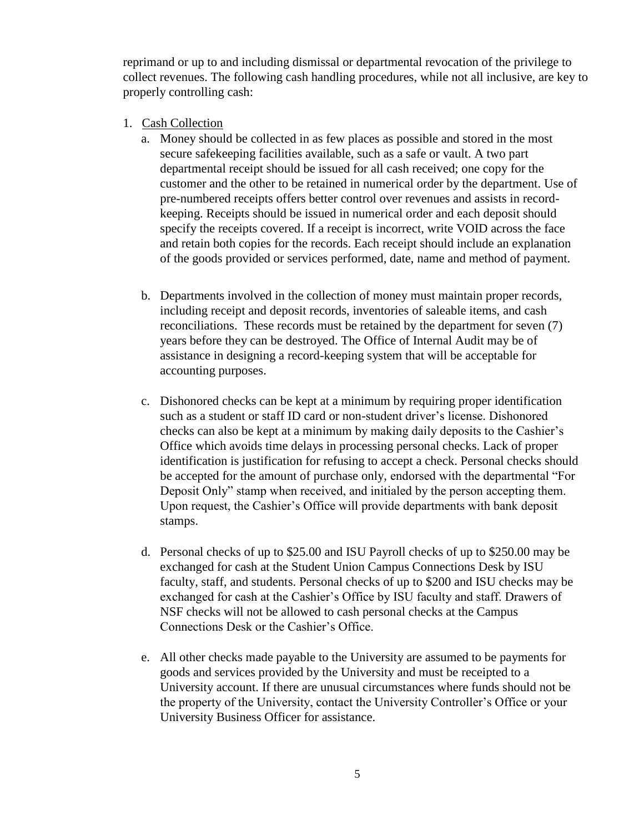reprimand or up to and including dismissal or departmental revocation of the privilege to collect revenues. The following cash handling procedures, while not all inclusive, are key to properly controlling cash:

- 1. Cash Collection
	- a. Money should be collected in as few places as possible and stored in the most secure safekeeping facilities available, such as a safe or vault. A two part departmental receipt should be issued for all cash received; one copy for the customer and the other to be retained in numerical order by the department. Use of pre-numbered receipts offers better control over revenues and assists in recordkeeping. Receipts should be issued in numerical order and each deposit should specify the receipts covered. If a receipt is incorrect, write VOID across the face and retain both copies for the records. Each receipt should include an explanation of the goods provided or services performed, date, name and method of payment.
	- b. Departments involved in the collection of money must maintain proper records, including receipt and deposit records, inventories of saleable items, and cash reconciliations. These records must be retained by the department for seven (7) years before they can be destroyed. The Office of Internal Audit may be of assistance in designing a record-keeping system that will be acceptable for accounting purposes.
	- c. Dishonored checks can be kept at a minimum by requiring proper identification such as a student or staff ID card or non-student driver's license. Dishonored checks can also be kept at a minimum by making daily deposits to the Cashier's Office which avoids time delays in processing personal checks. Lack of proper identification is justification for refusing to accept a check. Personal checks should be accepted for the amount of purchase only, endorsed with the departmental "For Deposit Only" stamp when received, and initialed by the person accepting them. Upon request, the Cashier's Office will provide departments with bank deposit stamps.
	- d. Personal checks of up to \$25.00 and ISU Payroll checks of up to \$250.00 may be exchanged for cash at the Student Union Campus Connections Desk by ISU faculty, staff, and students. Personal checks of up to \$200 and ISU checks may be exchanged for cash at the Cashier's Office by ISU faculty and staff. Drawers of NSF checks will not be allowed to cash personal checks at the Campus Connections Desk or the Cashier's Office.
	- e. All other checks made payable to the University are assumed to be payments for goods and services provided by the University and must be receipted to a University account. If there are unusual circumstances where funds should not be the property of the University, contact the University Controller's Office or your University Business Officer for assistance.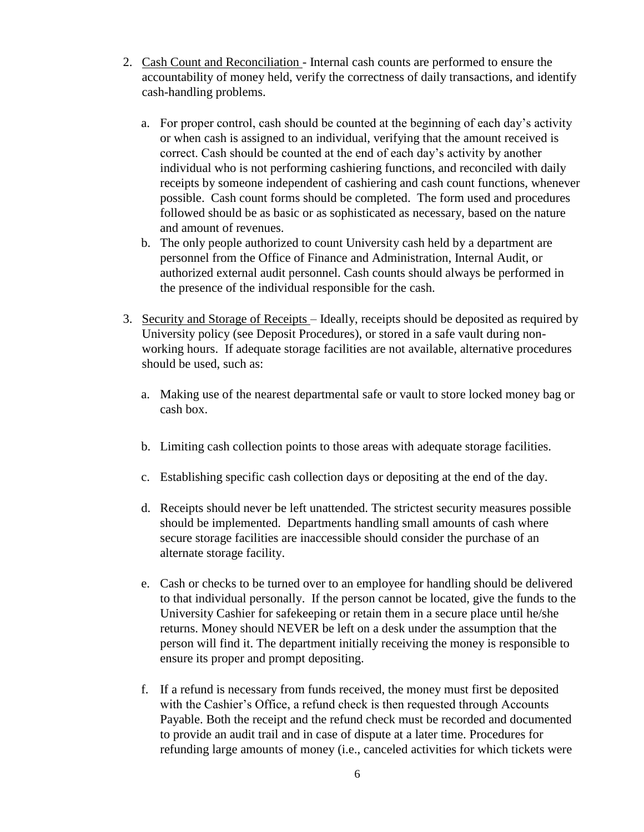- 2. Cash Count and Reconciliation Internal cash counts are performed to ensure the accountability of money held, verify the correctness of daily transactions, and identify cash-handling problems.
	- a. For proper control, cash should be counted at the beginning of each day's activity or when cash is assigned to an individual, verifying that the amount received is correct. Cash should be counted at the end of each day's activity by another individual who is not performing cashiering functions, and reconciled with daily receipts by someone independent of cashiering and cash count functions, whenever possible. Cash count forms should be completed. The form used and procedures followed should be as basic or as sophisticated as necessary, based on the nature and amount of revenues.
	- b. The only people authorized to count University cash held by a department are personnel from the Office of Finance and Administration, Internal Audit, or authorized external audit personnel. Cash counts should always be performed in the presence of the individual responsible for the cash.
- 3. Security and Storage of Receipts Ideally, receipts should be deposited as required by University policy (see Deposit Procedures), or stored in a safe vault during nonworking hours. If adequate storage facilities are not available, alternative procedures should be used, such as:
	- a. Making use of the nearest departmental safe or vault to store locked money bag or cash box.
	- b. Limiting cash collection points to those areas with adequate storage facilities.
	- c. Establishing specific cash collection days or depositing at the end of the day.
	- d. Receipts should never be left unattended. The strictest security measures possible should be implemented. Departments handling small amounts of cash where secure storage facilities are inaccessible should consider the purchase of an alternate storage facility.
	- e. Cash or checks to be turned over to an employee for handling should be delivered to that individual personally. If the person cannot be located, give the funds to the University Cashier for safekeeping or retain them in a secure place until he/she returns. Money should NEVER be left on a desk under the assumption that the person will find it. The department initially receiving the money is responsible to ensure its proper and prompt depositing.
	- f. If a refund is necessary from funds received, the money must first be deposited with the Cashier's Office, a refund check is then requested through Accounts Payable. Both the receipt and the refund check must be recorded and documented to provide an audit trail and in case of dispute at a later time. Procedures for refunding large amounts of money (i.e., canceled activities for which tickets were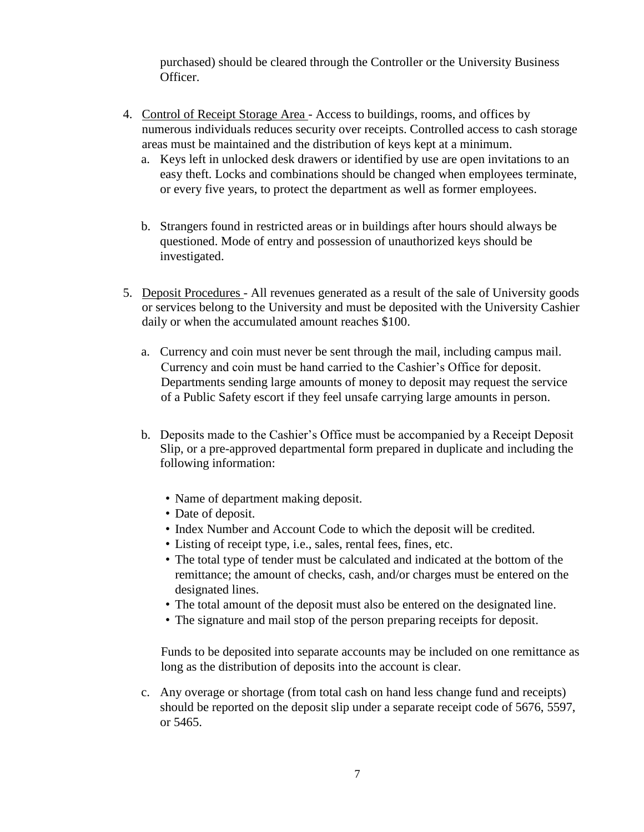purchased) should be cleared through the Controller or the University Business Officer.

- 4. Control of Receipt Storage Area Access to buildings, rooms, and offices by numerous individuals reduces security over receipts. Controlled access to cash storage areas must be maintained and the distribution of keys kept at a minimum.
	- a. Keys left in unlocked desk drawers or identified by use are open invitations to an easy theft. Locks and combinations should be changed when employees terminate, or every five years, to protect the department as well as former employees.
	- b. Strangers found in restricted areas or in buildings after hours should always be questioned. Mode of entry and possession of unauthorized keys should be investigated.
- 5. Deposit Procedures All revenues generated as a result of the sale of University goods or services belong to the University and must be deposited with the University Cashier daily or when the accumulated amount reaches \$100.
	- a. Currency and coin must never be sent through the mail, including campus mail. Currency and coin must be hand carried to the Cashier's Office for deposit. Departments sending large amounts of money to deposit may request the service of a Public Safety escort if they feel unsafe carrying large amounts in person.
	- b. Deposits made to the Cashier's Office must be accompanied by a Receipt Deposit Slip, or a pre-approved departmental form prepared in duplicate and including the following information:
		- Name of department making deposit.
		- Date of deposit.
		- Index Number and Account Code to which the deposit will be credited.
		- Listing of receipt type, i.e., sales, rental fees, fines, etc.
		- The total type of tender must be calculated and indicated at the bottom of the remittance; the amount of checks, cash, and/or charges must be entered on the designated lines.
		- The total amount of the deposit must also be entered on the designated line.
		- The signature and mail stop of the person preparing receipts for deposit.

Funds to be deposited into separate accounts may be included on one remittance as long as the distribution of deposits into the account is clear.

c. Any overage or shortage (from total cash on hand less change fund and receipts) should be reported on the deposit slip under a separate receipt code of 5676, 5597, or 5465.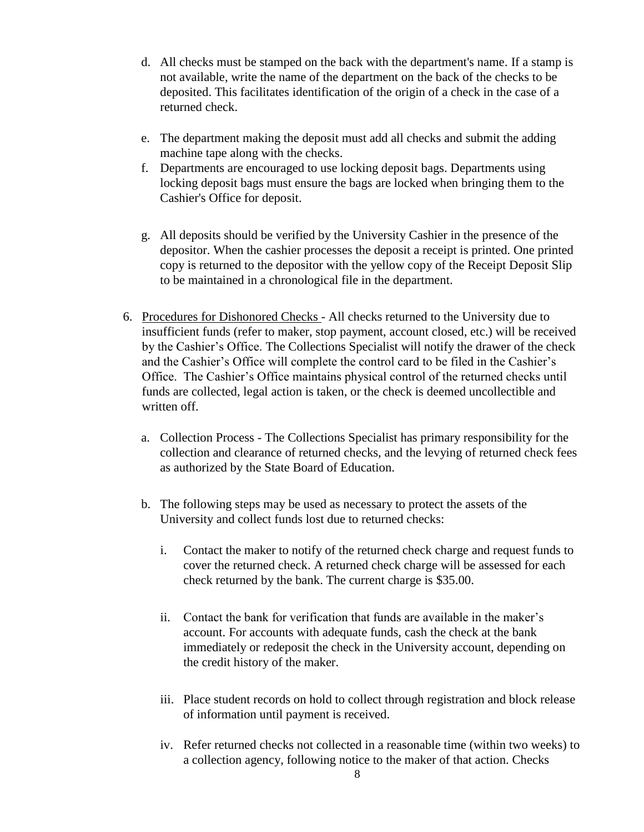- d. All checks must be stamped on the back with the department's name. If a stamp is not available, write the name of the department on the back of the checks to be deposited. This facilitates identification of the origin of a check in the case of a returned check.
- e. The department making the deposit must add all checks and submit the adding machine tape along with the checks.
- f. Departments are encouraged to use locking deposit bags. Departments using locking deposit bags must ensure the bags are locked when bringing them to the Cashier's Office for deposit.
- g. All deposits should be verified by the University Cashier in the presence of the depositor. When the cashier processes the deposit a receipt is printed. One printed copy is returned to the depositor with the yellow copy of the Receipt Deposit Slip to be maintained in a chronological file in the department.
- 6. Procedures for Dishonored Checks All checks returned to the University due to insufficient funds (refer to maker, stop payment, account closed, etc.) will be received by the Cashier's Office. The Collections Specialist will notify the drawer of the check and the Cashier's Office will complete the control card to be filed in the Cashier's Office. The Cashier's Office maintains physical control of the returned checks until funds are collected, legal action is taken, or the check is deemed uncollectible and written off.
	- a. Collection Process The Collections Specialist has primary responsibility for the collection and clearance of returned checks, and the levying of returned check fees as authorized by the State Board of Education.
	- b. The following steps may be used as necessary to protect the assets of the University and collect funds lost due to returned checks:
		- i. Contact the maker to notify of the returned check charge and request funds to cover the returned check. A returned check charge will be assessed for each check returned by the bank. The current charge is \$35.00.
		- ii. Contact the bank for verification that funds are available in the maker's account. For accounts with adequate funds, cash the check at the bank immediately or redeposit the check in the University account, depending on the credit history of the maker.
		- iii. Place student records on hold to collect through registration and block release of information until payment is received.
		- iv. Refer returned checks not collected in a reasonable time (within two weeks) to a collection agency, following notice to the maker of that action. Checks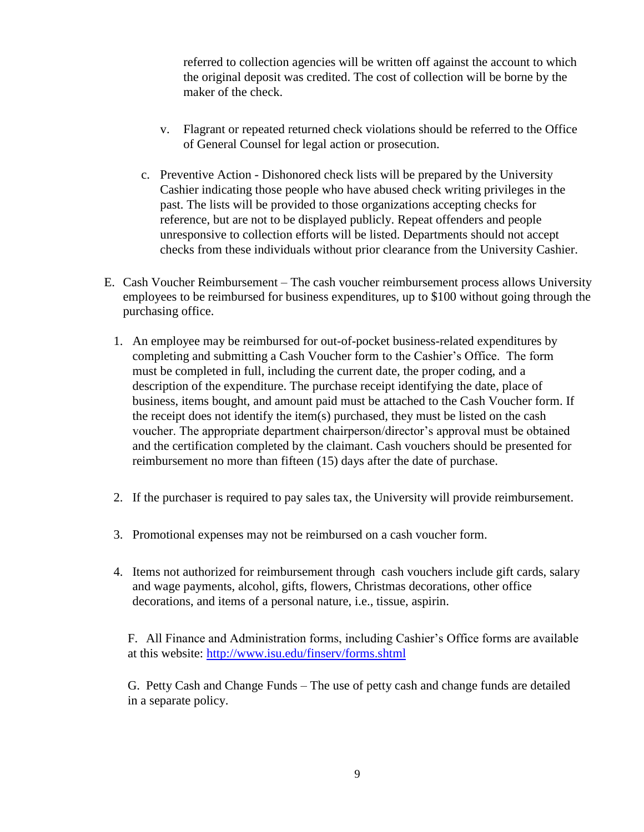referred to collection agencies will be written off against the account to which the original deposit was credited. The cost of collection will be borne by the maker of the check.

- v. Flagrant or repeated returned check violations should be referred to the Office of General Counsel for legal action or prosecution.
- c. Preventive Action Dishonored check lists will be prepared by the University Cashier indicating those people who have abused check writing privileges in the past. The lists will be provided to those organizations accepting checks for reference, but are not to be displayed publicly. Repeat offenders and people unresponsive to collection efforts will be listed. Departments should not accept checks from these individuals without prior clearance from the University Cashier.
- E. Cash Voucher Reimbursement The cash voucher reimbursement process allows University employees to be reimbursed for business expenditures, up to \$100 without going through the purchasing office.
	- 1. An employee may be reimbursed for out-of-pocket business-related expenditures by completing and submitting a Cash Voucher form to the Cashier's Office. The form must be completed in full, including the current date, the proper coding, and a description of the expenditure. The purchase receipt identifying the date, place of business, items bought, and amount paid must be attached to the Cash Voucher form. If the receipt does not identify the item(s) purchased, they must be listed on the cash voucher. The appropriate department chairperson/director's approval must be obtained and the certification completed by the claimant. Cash vouchers should be presented for reimbursement no more than fifteen (15) days after the date of purchase.
	- 2. If the purchaser is required to pay sales tax, the University will provide reimbursement.
	- 3. Promotional expenses may not be reimbursed on a cash voucher form.
	- 4. Items not authorized for reimbursement through cash vouchers include gift cards, salary and wage payments, alcohol, gifts, flowers, Christmas decorations, other office decorations, and items of a personal nature, i.e., tissue, aspirin.

F. All Finance and Administration forms, including Cashier's Office forms are available at this website:<http://www.isu.edu/finserv/forms.shtml>

G. Petty Cash and Change Funds – The use of petty cash and change funds are detailed in a separate policy.